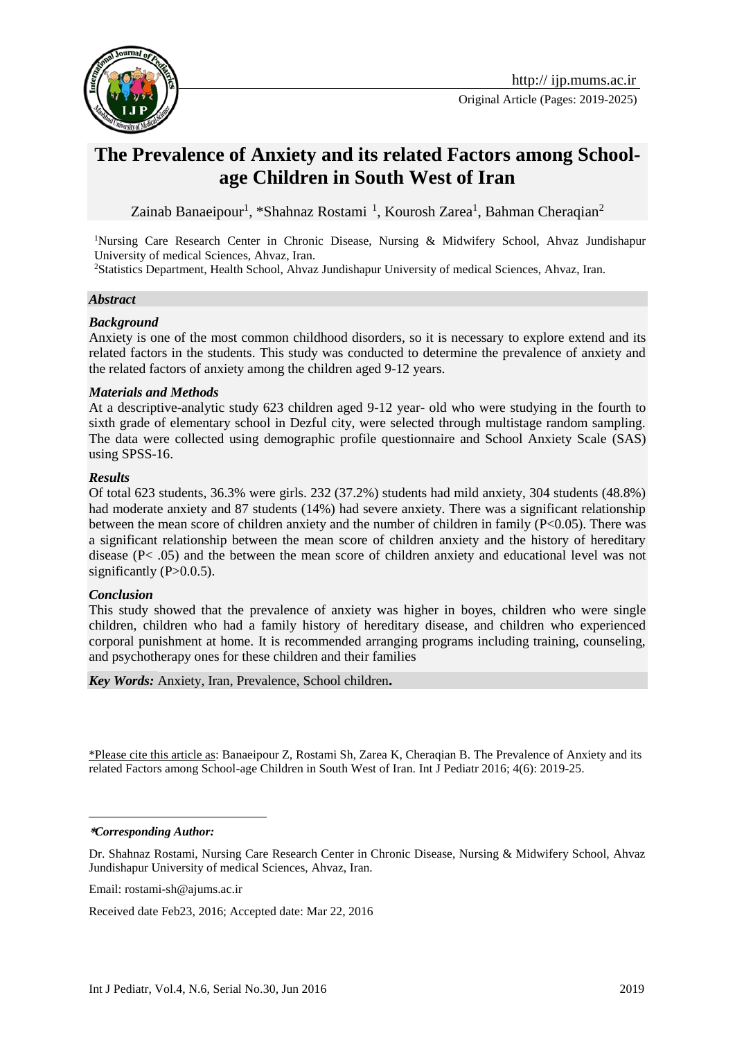

Original Article (Pages: 2019-2025)

# **The Prevalence of Anxiety and its related Factors among Schoolage Children in South West of Iran**

Zainab Banaeipour<sup>1</sup>, \*Shahnaz Rostami<sup>1</sup>, Kourosh Zarea<sup>1</sup>, Bahman Cheraqian<sup>2</sup>

<sup>1</sup>Nursing Care Research Center in Chronic Disease, Nursing & Midwifery School, Ahvaz Jundishapur University of medical Sciences, Ahvaz, Iran.

<sup>2</sup>Statistics Department, Health School, Ahvaz Jundishapur University of medical Sciences, Ahvaz, Iran.

### *Abstract*

### *Background*

Anxiety is one of the most common childhood disorders, so it is necessary to explore extend and its related factors in the students. This study was conducted to determine the prevalence of anxiety and the related factors of anxiety among the children aged 9-12 years.

### *Materials and Methods*

At a descriptive-analytic study 623 children aged 9-12 year- old who were studying in the fourth to sixth grade of elementary school in Dezful city, were selected through multistage random sampling. The data were collected using demographic profile questionnaire and School Anxiety Scale (SAS) using SPSS-16.

### *Results*

Of total 623 students, 36.3% were girls. 232 (37.2%) students had mild anxiety, 304 students (48.8%) had moderate anxiety and 87 students (14%) had severe anxiety. There was a significant relationship between the mean score of children anxiety and the number of children in family (P<0.05). There was a significant relationship between the mean score of children anxiety and the history of hereditary disease (P< .05) and the between the mean score of children anxiety and educational level was not significantly  $(P>0.0.5)$ .

### *Conclusion*

This study showed that the prevalence of anxiety was higher in boyes, children who were single children, children who had a family history of hereditary disease, and children who experienced corporal punishment at home. It is recommended arranging programs including training, counseling, and psychotherapy ones for these children and their families

*Key Words:* Anxiety, Iran, Prevalence, School children**.**

\*Please cite this article as: Banaeipour Z, Rostami Sh, Zarea K, Cheraqian B. The Prevalence of Anxiety and its related Factors among School-age Children in South West of Iran. Int J Pediatr 2016; 4(6): 2019-25.

#### **\****Corresponding Author:*

<u>.</u>

Dr. Shahnaz Rostami, Nursing Care Research Center in Chronic Disease, Nursing & Midwifery School, Ahvaz Jundishapur University of medical Sciences, Ahvaz, Iran.

Email: [rostami-sh@ajums.ac.ir](mailto:rostami-sh@ajums.ac.ir)

Received date Feb23, 2016; Accepted date: Mar 22, 2016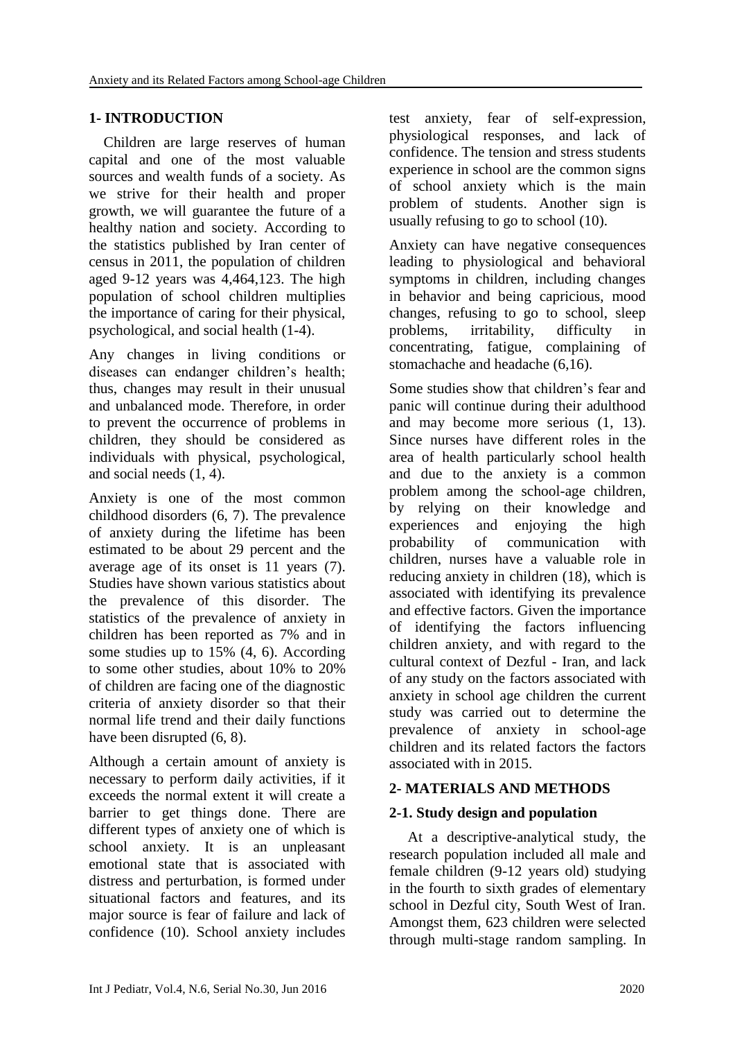# **1- INTRODUCTION**

 Children are large reserves of human capital and one of the most valuable sources and wealth funds of a society. As we strive for their health and proper growth, we will guarantee the future of a healthy nation and society. According to the statistics published by Iran center of census in 2011, the population of children aged 9-12 years was 4,464,123. The high population of school children multiplies the importance of caring for their physical, psychological, and social health (1-4).

Any changes in living conditions or diseases can endanger children's health; thus, changes may result in their unusual and unbalanced mode. Therefore, in order to prevent the occurrence of problems in children, they should be considered as individuals with physical, psychological, and social needs (1, 4).

Anxiety is one of the most common childhood disorders (6, 7). The prevalence of anxiety during the lifetime has been estimated to be about 29 percent and the average age of its onset is 11 years (7). Studies have shown various statistics about the prevalence of this disorder. The statistics of the prevalence of anxiety in children has been reported as 7% and in some studies up to 15% (4, 6). According to some other studies, about 10% to 20% of children are facing one of the diagnostic criteria of anxiety disorder so that their normal life trend and their daily functions have been disrupted (6, 8).

Although a certain amount of anxiety is necessary to perform daily activities, if it exceeds the normal extent it will create a barrier to get things done. There are different types of anxiety one of which is school anxiety. It is an unpleasant emotional state that is associated with distress and perturbation, is formed under situational factors and features, and its major source is fear of failure and lack of confidence (10). School anxiety includes test anxiety, fear of self-expression, physiological responses, and lack of confidence. The tension and stress students experience in school are the common signs of school anxiety which is the main problem of students. Another sign is usually refusing to go to school (10).

Anxiety can have negative consequences leading to physiological and behavioral symptoms in children, including changes in behavior and being capricious, mood changes, refusing to go to school, sleep problems, irritability, difficulty in concentrating, fatigue, complaining of stomachache and headache (6,16).

Some studies show that children's fear and panic will continue during their adulthood and may become more serious (1, 13). Since nurses have different roles in the area of health particularly school health and due to the anxiety is a common problem among the school-age children, by relying on their knowledge and experiences and enjoying the high probability of communication with children, nurses have a valuable role in reducing anxiety in children (18), which is associated with identifying its prevalence and effective factors. Given the importance of identifying the factors influencing children anxiety, and with regard to the cultural context of Dezful - Iran, and lack of any study on the factors associated with anxiety in school age children the current study was carried out to determine the prevalence of anxiety in school-age children and its related factors the factors associated with in 2015.

# **2- MATERIALS AND METHODS**

# **2-1. Study design and population**

 At a descriptive-analytical study, the research population included all male and female children (9-12 years old) studying in the fourth to sixth grades of elementary school in Dezful city, South West of Iran. Amongst them, 623 children were selected through multi-stage random sampling. In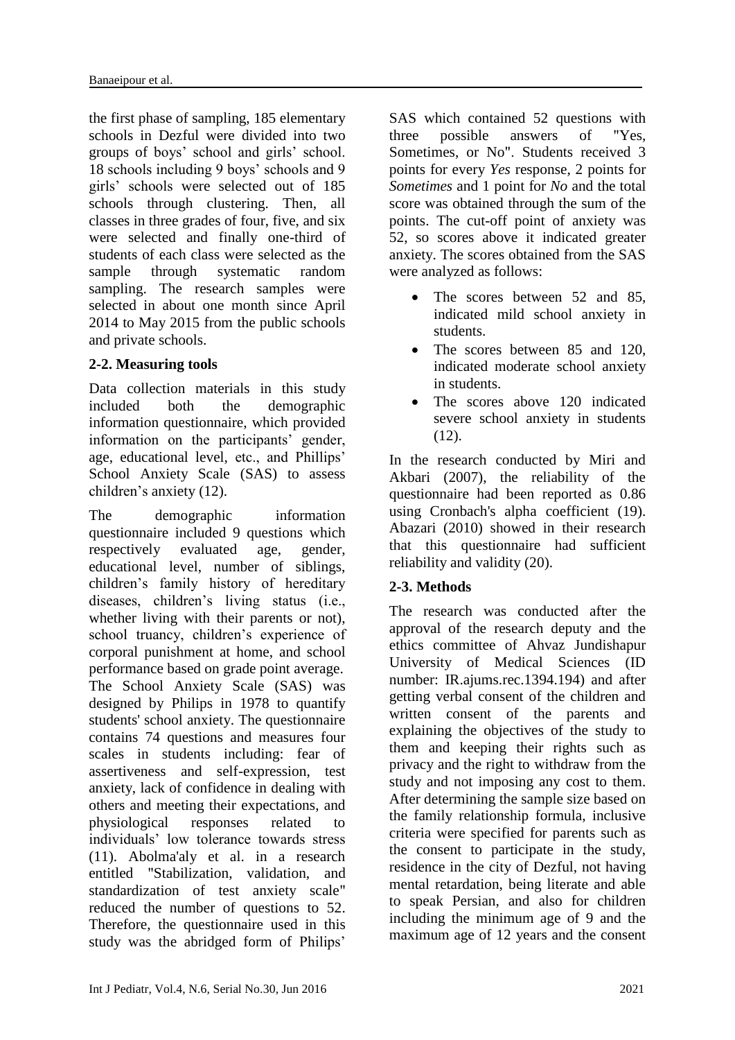the first phase of sampling, 185 elementary schools in Dezful were divided into two groups of boys' school and girls' school. 18 schools including 9 boys' schools and 9 girls' schools were selected out of 185 schools through clustering. Then, all classes in three grades of four, five, and six were selected and finally one-third of students of each class were selected as the sample through systematic random sampling. The research samples were selected in about one month since April 2014 to May 2015 from the public schools and private schools.

# **2-2. Measuring tools**

Data collection materials in this study included both the demographic information questionnaire, which provided information on the participants' gender, age, educational level, etc., and Phillips' School Anxiety Scale (SAS) to assess children's anxiety (12).

The demographic information questionnaire included 9 questions which respectively evaluated age, gender, educational level, number of siblings, children's family history of hereditary diseases, children's living status (i.e., whether living with their parents or not), school truancy, children's experience of corporal punishment at home, and school performance based on grade point average. The School Anxiety Scale (SAS) was designed by Philips in 1978 to quantify students' school anxiety. The questionnaire contains 74 questions and measures four scales in students including: fear of assertiveness and self-expression, test anxiety, lack of confidence in dealing with others and meeting their expectations, and physiological responses related to individuals' low tolerance towards stress (11). Abolma'aly et al. in a research entitled "Stabilization, validation, and standardization of test anxiety scale" reduced the number of questions to 52. Therefore, the questionnaire used in this study was the abridged form of Philips'

SAS which contained 52 questions with three possible answers of "Yes, Sometimes, or No". Students received 3 points for every *Yes* response, 2 points for *Sometimes* and 1 point for *No* and the total score was obtained through the sum of the points. The cut-off point of anxiety was 52, so scores above it indicated greater anxiety. The scores obtained from the SAS were analyzed as follows:

- The scores between 52 and 85, indicated mild school anxiety in students.
- The scores between 85 and 120, indicated moderate school anxiety in students.
- The scores above 120 indicated severe school anxiety in students (12).

In the research conducted by Miri and Akbari (2007), the reliability of the questionnaire had been reported as 0.86 using Cronbach's alpha coefficient (19). Abazari (2010) showed in their research that this questionnaire had sufficient reliability and validity (20).

# **2-3. Methods**

The research was conducted after the approval of the research deputy and the ethics committee of Ahvaz Jundishapur University of Medical Sciences (ID number: IR.ajums.rec.1394.194) and after getting verbal consent of the children and written consent of the parents and explaining the objectives of the study to them and keeping their rights such as privacy and the right to withdraw from the study and not imposing any cost to them. After determining the sample size based on the family relationship formula, inclusive criteria were specified for parents such as the consent to participate in the study, residence in the city of Dezful, not having mental retardation, being literate and able to speak Persian, and also for children including the minimum age of 9 and the maximum age of 12 years and the consent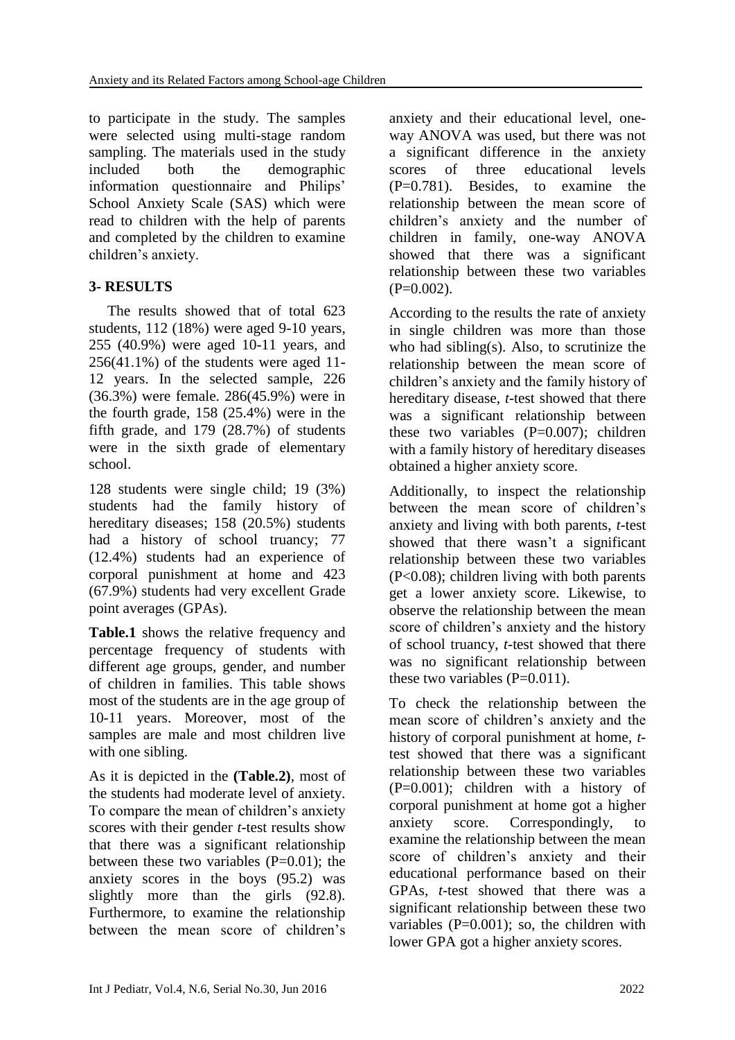to participate in the study. The samples were selected using multi-stage random sampling. The materials used in the study included both the demographic information questionnaire and Philips' School Anxiety Scale (SAS) which were read to children with the help of parents and completed by the children to examine children's anxiety.

# **3- RESULTS**

 The results showed that of total 623 students, 112 (18%) were aged 9-10 years, 255 (40.9%) were aged 10-11 years, and  $256(41.1\%)$  of the students were aged 11-12 years. In the selected sample, 226 (36.3%) were female. 286(45.9%) were in the fourth grade, 158 (25.4%) were in the fifth grade, and 179 (28.7%) of students were in the sixth grade of elementary school.

128 students were single child; 19 (3%) students had the family history of hereditary diseases; 158 (20.5%) students had a history of school truancy; 77 (12.4%) students had an experience of corporal punishment at home and 423 (67.9%) students had very excellent Grade point averages (GPAs).

**Table.1** shows the relative frequency and percentage frequency of students with different age groups, gender, and number of children in families. This table shows most of the students are in the age group of 10-11 years. Moreover, most of the samples are male and most children live with one sibling.

As it is depicted in the **(Table.2)**, most of the students had moderate level of anxiety. To compare the mean of children's anxiety scores with their gender *t*-test results show that there was a significant relationship between these two variables  $(P=0.01)$ ; the anxiety scores in the boys (95.2) was slightly more than the girls  $(92.8)$ . Furthermore, to examine the relationship between the mean score of children's anxiety and their educational level, oneway ANOVA was used, but there was not a significant difference in the anxiety scores of three educational levels (P=0.781). Besides, to examine the relationship between the mean score of children's anxiety and the number of children in family, one-way ANOVA showed that there was a significant relationship between these two variables  $(P=0.002)$ .

According to the results the rate of anxiety in single children was more than those who had sibling(s). Also, to scrutinize the relationship between the mean score of children's anxiety and the family history of hereditary disease, *t*-test showed that there was a significant relationship between these two variables  $(P=0.007)$ ; children with a family history of hereditary diseases obtained a higher anxiety score.

Additionally, to inspect the relationship between the mean score of children's anxiety and living with both parents, *t*-test showed that there wasn't a significant relationship between these two variables (P<0.08); children living with both parents get a lower anxiety score. Likewise, to observe the relationship between the mean score of children's anxiety and the history of school truancy, *t*-test showed that there was no significant relationship between these two variables  $(P=0.011)$ .

To check the relationship between the mean score of children's anxiety and the history of corporal punishment at home, *t*test showed that there was a significant relationship between these two variables (P=0.001); children with a history of corporal punishment at home got a higher anxiety score. Correspondingly, to examine the relationship between the mean score of children's anxiety and their educational performance based on their GPAs, *t*-test showed that there was a significant relationship between these two variables  $(P=0.001)$ ; so, the children with lower GPA got a higher anxiety scores.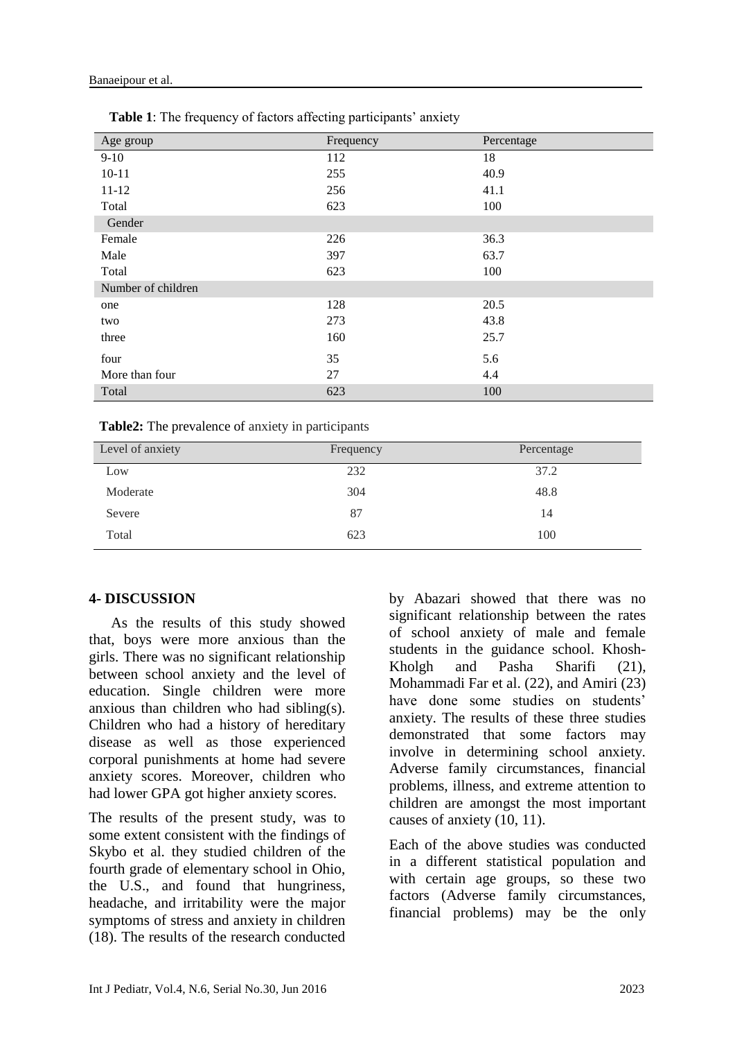| Age group          | Frequency | Percentage |
|--------------------|-----------|------------|
| $9-10$             | 112       | 18         |
| $10 - 11$          | 255       | 40.9       |
| $11 - 12$          | 256       | 41.1       |
| Total              | 623       | 100        |
| Gender             |           |            |
| Female             | 226       | 36.3       |
| Male               | 397       | 63.7       |
| Total              | 623       | 100        |
| Number of children |           |            |
| one                | 128       | 20.5       |
| two                | 273       | 43.8       |
| three              | 160       | 25.7       |
| four               | 35        | 5.6        |
| More than four     | 27        | 4.4        |
| Total              | 623       | 100        |

 **Table 1**: The frequency of factors affecting participants' anxiety

| Level of anxiety | Frequency | Percentage |
|------------------|-----------|------------|
| Low              | 232       | 37.2       |
| Moderate         | 304       | 48.8       |
| Severe           | 87        | 14         |
| Total            | 623       | 100        |

# **4- DISCUSSION**

 As the results of this study showed that, boys were more anxious than the girls. There was no significant relationship between school anxiety and the level of education. Single children were more anxious than children who had sibling(s). Children who had a history of hereditary disease as well as those experienced corporal punishments at home had severe anxiety scores. Moreover, children who had lower GPA got higher anxiety scores.

The results of the present study, was to some extent consistent with the findings of Skybo et al. they studied children of the fourth grade of elementary school in Ohio, the U.S., and found that hungriness, headache, and irritability were the major symptoms of stress and anxiety in children (18). The results of the research conducted by Abazari showed that there was no significant relationship between the rates of school anxiety of male and female students in the guidance school. Khosh-Kholgh and Pasha Sharifi (21), Mohammadi Far et al. (22), and Amiri (23) have done some studies on students' anxiety. The results of these three studies demonstrated that some factors may involve in determining school anxiety. Adverse family circumstances, financial problems, illness, and extreme attention to children are amongst the most important causes of anxiety (10, 11).

Each of the above studies was conducted in a different statistical population and with certain age groups, so these two factors (Adverse family circumstances, financial problems) may be the only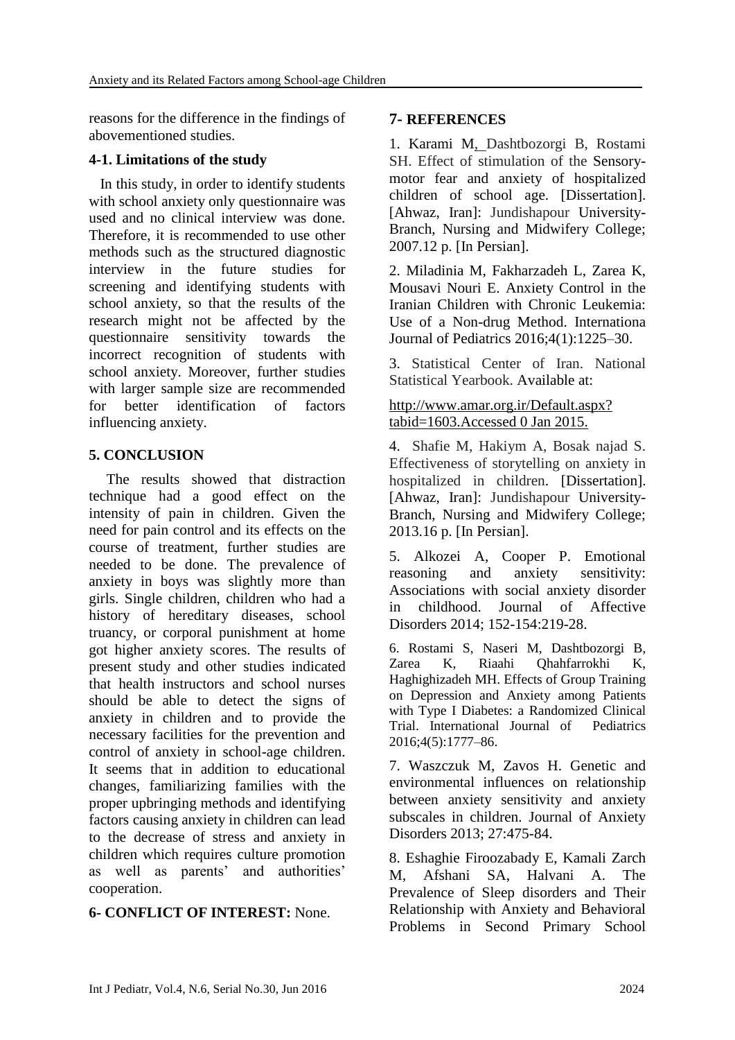reasons for the difference in the findings of abovementioned studies.

### **4-1. Limitations of the study**

 In this study, in order to identify students with school anxiety only questionnaire was used and no clinical interview was done. Therefore, it is recommended to use other methods such as the structured diagnostic interview in the future studies for screening and identifying students with school anxiety, so that the results of the research might not be affected by the questionnaire sensitivity towards the incorrect recognition of students with school anxiety. Moreover, further studies with larger sample size are recommended for better identification of factors influencing anxiety.

# **5. CONCLUSION**

The results showed that distraction technique had a good effect on the intensity of pain in children. Given the need for pain control and its effects on the course of treatment, further studies are needed to be done. The prevalence of anxiety in boys was slightly more than girls. Single children, children who had a history of hereditary diseases, school truancy, or corporal punishment at home got higher anxiety scores. The results of present study and other studies indicated that health instructors and school nurses should be able to detect the signs of anxiety in children and to provide the necessary facilities for the prevention and control of anxiety in school-age children. It seems that in addition to educational changes, familiarizing families with the proper upbringing methods and identifying factors causing anxiety in children can lead to the decrease of stress and anxiety in children which requires culture promotion as well as parents' and authorities' cooperation.

# **6- CONFLICT OF INTEREST:** None.

# **7- REFERENCES**

1. Karami M, Dashtbozorgi B, Rostami SH. Effect of stimulation of the Sensorymotor fear and anxiety of hospitalized children of school age. [Dissertation]. [Ahwaz, Iran]: Jundishapour University-Branch, Nursing and Midwifery College; 2007.12 p. [In Persian].

2. Miladinia M, Fakharzadeh L, Zarea K, Mousavi Nouri E. Anxiety Control in the Iranian Children with Chronic Leukemia: Use of a Non-drug Method. Internationa Journal of Pediatrics 2016;4(1):1225–30.

3. Statistical Center of Iran. National Statistical Yearbook. Available at:

### http://www.amar.org.ir/Default.aspx? tabid=1603.Accessed 0 Jan 2015.

4. Shafie M, Hakiym A, Bosak najad S. Effectiveness of storytelling on anxiety in hospitalized in children. [Dissertation]. [Ahwaz, Iran]: Jundishapour University-Branch, Nursing and Midwifery College; 2013.16 p. [In Persian].

5. Alkozei A, Cooper P. Emotional reasoning and anxiety sensitivity: Associations with social anxiety disorder in childhood. Journal of Affective Disorders 2014; 152-154:219-28.

6. Rostami S, Naseri M, Dashtbozorgi B, Zarea K, Riaahi Qhahfarrokhi K, Haghighizadeh MH. Effects of Group Training on Depression and Anxiety among Patients with Type I Diabetes: a Randomized Clinical<br>Trial International Journal of Pediatrics Trial. International Journal of 2016;4(5):1777–86.

7. Waszczuk M, Zavos H. Genetic and environmental influences on relationship between anxiety sensitivity and anxiety subscales in children. Journal of Anxiety Disorders 2013; 27:475-84.

8. Eshaghie Firoozabady E, Kamali Zarch M, Afshani SA, Halvani A. The Prevalence of Sleep disorders and Their Relationship with Anxiety and Behavioral Problems in Second Primary School